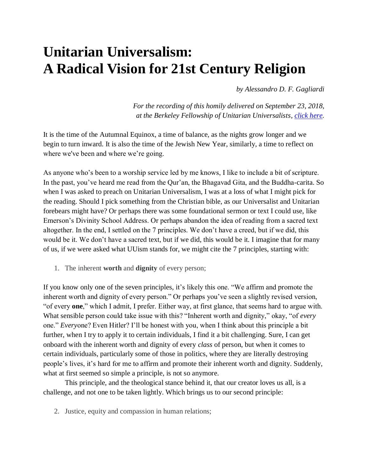## **Unitarian Universalism: A Radical Vision for 21st Century Religion**

*by Alessandro D. F. Gagliardi*

*For the recording of this homily delivered on September 23, 2018, at the Berkeley Fellowship of Unitarian Universalists, [click here.](http://bfuu.org/images/audio/180923.mp3)*

It is the time of the Autumnal Equinox, a time of balance, as the nights grow longer and we begin to turn inward. It is also the time of the Jewish New Year, similarly, a time to reflect on where we've been and where we're going.

As anyone who's been to a worship service led by me knows, I like to include a bit of scripture. In the past, you've heard me read from the Qur'an, the Bhagavad Gita, and the Buddha-carita. So when I was asked to preach on Unitarian Universalism, I was at a loss of what I might pick for the reading. Should I pick something from the Christian bible, as our Universalist and Unitarian forebears might have? Or perhaps there was some foundational sermon or text I could use, like Emerson's Divinity School Address. Or perhaps abandon the idea of reading from a sacred text altogether. In the end, I settled on the 7 principles. We don't have a creed, but if we did, this would be it. We don't have a sacred text, but if we did, this would be it. I imagine that for many of us, if we were asked what UUism stands for, we might cite the 7 principles, starting with:

1. The inherent **worth** and **dignity** of every person;

If you know only one of the seven principles, it's likely this one. "We affirm and promote the inherent worth and dignity of every person." Or perhaps you've seen a slightly revised version, "of every **one**," which I admit, I prefer. Either way, at first glance, that seems hard to argue with. What sensible person could take issue with this? "Inherent worth and dignity," okay, "of *every* one." *Every*one? Even Hitler? I'll be honest with you, when I think about this principle a bit further, when I try to apply it to certain individuals, I find it a bit challenging. Sure, I can get onboard with the inherent worth and dignity of every *class* of person, but when it comes to certain individuals, particularly some of those in politics, where they are literally destroying people's lives, it's hard for me to affirm and promote their inherent worth and dignity. Suddenly, what at first seemed so simple a principle, is not so anymore.

This principle, and the theological stance behind it, that our creator loves us all, is a challenge, and not one to be taken lightly. Which brings us to our second principle:

2. Justice, equity and compassion in human relations;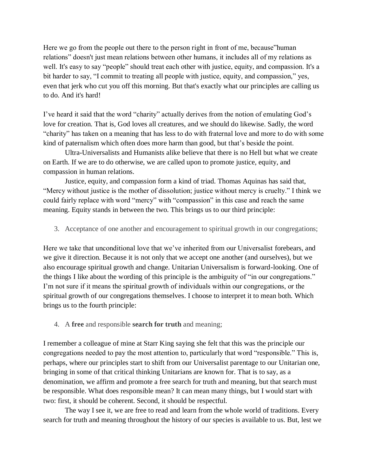Here we go from the people out there to the person right in front of me, because"human relations" doesn't just mean relations between other humans, it includes all of my relations as well. It's easy to say "people" should treat each other with justice, equity, and compassion. It's a bit harder to say, "I commit to treating all people with justice, equity, and compassion," yes, even that jerk who cut you off this morning. But that's exactly what our principles are calling us to do. And it's hard!

I've heard it said that the word "charity" actually derives from the notion of emulating God's love for creation. That is, God loves all creatures, and we should do likewise. Sadly, the word "charity" has taken on a meaning that has less to do with fraternal love and more to do with some kind of paternalism which often does more harm than good, but that's beside the point.

Ultra-Universalists and Humanists alike believe that there is no Hell but what we create on Earth. If we are to do otherwise, we are called upon to promote justice, equity, and compassion in human relations.

Justice, equity, and compassion form a kind of triad. Thomas Aquinas has said that, "Mercy without justice is the mother of dissolution; justice without mercy is cruelty." I think we could fairly replace with word "mercy" with "compassion" in this case and reach the same meaning. Equity stands in between the two. This brings us to our third principle:

3. Acceptance of one another and encouragement to spiritual growth in our congregations;

Here we take that unconditional love that we've inherited from our Universalist forebears, and we give it direction. Because it is not only that we accept one another (and ourselves), but we also encourage spiritual growth and change. Unitarian Universalism is forward-looking. One of the things I like about the wording of this principle is the ambiguity of "in our congregations." I'm not sure if it means the spiritual growth of individuals within our congregations, or the spiritual growth of our congregations themselves. I choose to interpret it to mean both. Which brings us to the fourth principle:

4. A **free** and responsible **search for truth** and meaning;

I remember a colleague of mine at Starr King saying she felt that this was the principle our congregations needed to pay the most attention to, particularly that word "responsible." This is, perhaps, where our principles start to shift from our Universalist parentage to our Unitarian one, bringing in some of that critical thinking Unitarians are known for. That is to say, as a denomination, we affirm and promote a free search for truth and meaning, but that search must be responsible. What does responsible mean? It can mean many things, but I would start with two: first, it should be coherent. Second, it should be respectful.

The way I see it, we are free to read and learn from the whole world of traditions. Every search for truth and meaning throughout the history of our species is available to us. But, lest we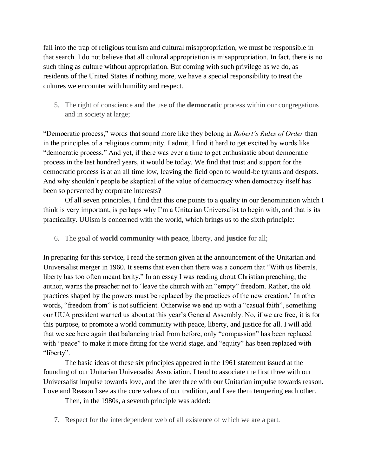fall into the trap of religious tourism and cultural misappropriation, we must be responsible in that search. I do not believe that all cultural appropriation is misappropriation. In fact, there is no such thing as culture without appropriation. But coming with such privilege as we do, as residents of the United States if nothing more, we have a special responsibility to treat the cultures we encounter with humility and respect.

5. The right of conscience and the use of the **democratic** process within our congregations and in society at large;

"Democratic process," words that sound more like they belong in *Robert's Rules of Order* than in the principles of a religious community. I admit, I find it hard to get excited by words like "democratic process." And yet, if there was ever a time to get enthusiastic about democratic process in the last hundred years, it would be today. We find that trust and support for the democratic process is at an all time low, leaving the field open to would-be tyrants and despots. And why shouldn't people be skeptical of the value of democracy when democracy itself has been so perverted by corporate interests?

Of all seven principles, I find that this one points to a quality in our denomination which I think is very important, is perhaps why I'm a Unitarian Universalist to begin with, and that is its practicality. UUism is concerned with the world, which brings us to the sixth principle:

6. The goal of **world community** with **peace**, liberty, and **justice** for all;

In preparing for this service, I read the sermon given at the announcement of the Unitarian and Universalist merger in 1960. It seems that even then there was a concern that "With us liberals, liberty has too often meant laxity." In an essay I was reading about Christian preaching, the author, warns the preacher not to 'leave the church with an "empty" freedom. Rather, the old practices shaped by the powers must be replaced by the practices of the new creation.' In other words, "freedom from" is not sufficient. Otherwise we end up with a "casual faith", something our UUA president warned us about at this year's General Assembly. No, if we are free, it is for this purpose, to promote a world community with peace, liberty, and justice for all. I will add that we see here again that balancing triad from before, only "compassion" has been replaced with "peace" to make it more fitting for the world stage, and "equity" has been replaced with "liberty".

The basic ideas of these six principles appeared in the 1961 statement issued at the founding of our Unitarian Universalist Association. I tend to associate the first three with our Universalist impulse towards love, and the later three with our Unitarian impulse towards reason. Love and Reason I see as the core values of our tradition, and I see them tempering each other.

Then, in the 1980s, a seventh principle was added:

7. Respect for the interdependent web of all existence of which we are a part.